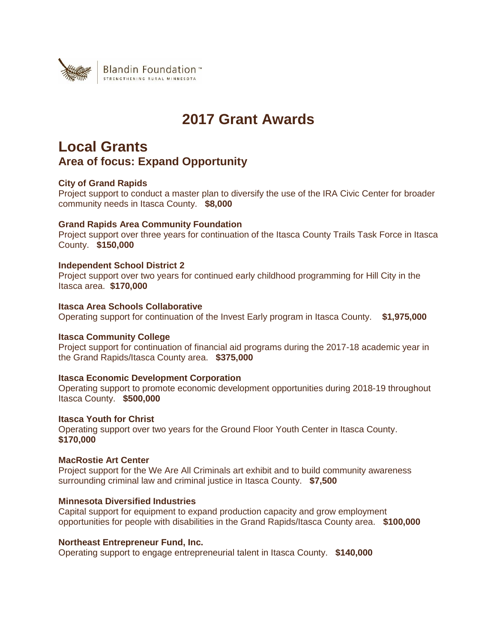

# **2017 Grant Awards**

# **Local Grants Area of focus: Expand Opportunity**

# **City of Grand Rapids**

Project support to conduct a master plan to diversify the use of the IRA Civic Center for broader community needs in Itasca County. **\$8,000**

# **Grand Rapids Area Community Foundation**

Project support over three years for continuation of the Itasca County Trails Task Force in Itasca County. **\$150,000**

# **Independent School District 2**

Project support over two years for continued early childhood programming for Hill City in the Itasca area. **\$170,000**

# **Itasca Area Schools Collaborative**

Operating support for continuation of the Invest Early program in Itasca County. **\$1,975,000**

# **Itasca Community College**

Project support for continuation of financial aid programs during the 2017-18 academic year in the Grand Rapids/Itasca County area. **\$375,000**

# **Itasca Economic Development Corporation**

Operating support to promote economic development opportunities during 2018-19 throughout Itasca County. **\$500,000**

### **Itasca Youth for Christ**

Operating support over two years for the Ground Floor Youth Center in Itasca County. **\$170,000**

# **MacRostie Art Center**

Project support for the We Are All Criminals art exhibit and to build community awareness surrounding criminal law and criminal justice in Itasca County. **\$7,500**

# **Minnesota Diversified Industries**

Capital support for equipment to expand production capacity and grow employment opportunities for people with disabilities in the Grand Rapids/Itasca County area. **\$100,000**

### **Northeast Entrepreneur Fund, Inc.**

Operating support to engage entrepreneurial talent in Itasca County. **\$140,000**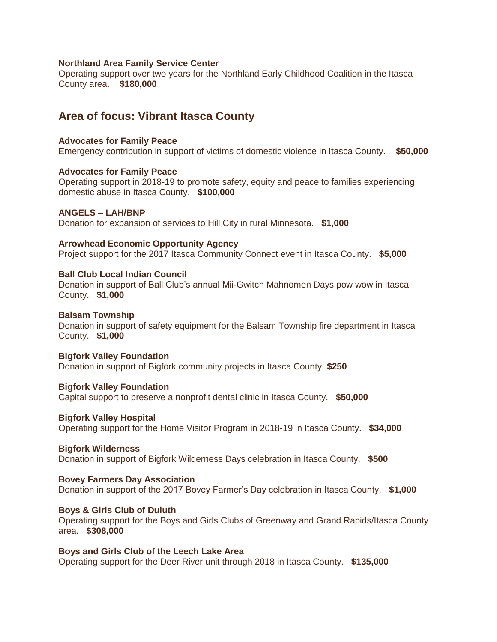### **Northland Area Family Service Center**

Operating support over two years for the Northland Early Childhood Coalition in the Itasca County area. **\$180,000**

# **Area of focus: Vibrant Itasca County**

### **Advocates for Family Peace**

Emergency contribution in support of victims of domestic violence in Itasca County. **\$50,000**

### **Advocates for Family Peace**

Operating support in 2018-19 to promote safety, equity and peace to families experiencing domestic abuse in Itasca County. **\$100,000**

### **ANGELS – LAH/BNP**

Donation for expansion of services to Hill City in rural Minnesota. **\$1,000**

### **Arrowhead Economic Opportunity Agency**

Project support for the 2017 Itasca Community Connect event in Itasca County. **\$5,000**

### **Ball Club Local Indian Council**

Donation in support of Ball Club's annual Mii-Gwitch Mahnomen Days pow wow in Itasca County. **\$1,000**

### **Balsam Township**

Donation in support of safety equipment for the Balsam Township fire department in Itasca County. **\$1,000**

### **Bigfork Valley Foundation**

Donation in support of Bigfork community projects in Itasca County. **\$250**

### **Bigfork Valley Foundation**

Capital support to preserve a nonprofit dental clinic in Itasca County. **\$50,000**

### **Bigfork Valley Hospital**

Operating support for the Home Visitor Program in 2018-19 in Itasca County. **\$34,000**

### **Bigfork Wilderness**

Donation in support of Bigfork Wilderness Days celebration in Itasca County. **\$500**

### **Bovey Farmers Day Association**

Donation in support of the 2017 Bovey Farmer's Day celebration in Itasca County. **\$1,000**

### **Boys & Girls Club of Duluth**

Operating support for the Boys and Girls Clubs of Greenway and Grand Rapids/Itasca County area. **\$308,000**

### **Boys and Girls Club of the Leech Lake Area**

Operating support for the Deer River unit through 2018 in Itasca County. **\$135,000**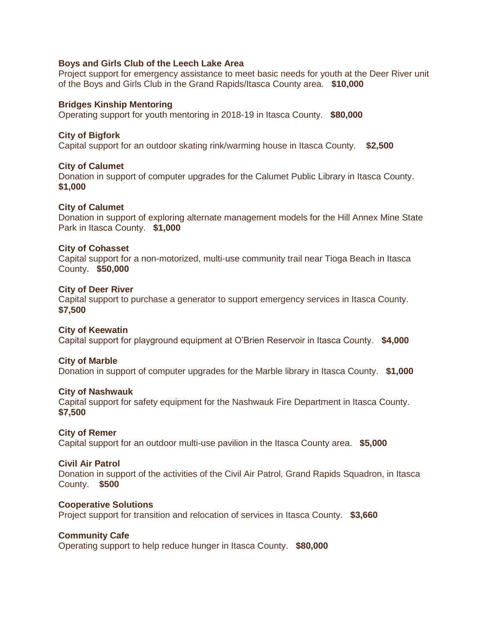# **Boys and Girls Club of the Leech Lake Area**

Project support for emergency assistance to meet basic needs for youth at the Deer River unit of the Boys and Girls Club in the Grand Rapids/Itasca County area. **\$10,000**

# **Bridges Kinship Mentoring**

Operating support for youth mentoring in 2018-19 in Itasca County. **\$80,000**

# **City of Bigfork**

Capital support for an outdoor skating rink/warming house in Itasca County. **\$2,500**

# **City of Calumet**

Donation in support of computer upgrades for the Calumet Public Library in Itasca County. **\$1,000**

# **City of Calumet**

Donation in support of exploring alternate management models for the Hill Annex Mine State Park in Itasca County. **\$1,000**

# **City of Cohasset**

Capital support for a non-motorized, multi-use community trail near Tioga Beach in Itasca County. **\$50,000**

# **City of Deer River**

Capital support to purchase a generator to support emergency services in Itasca County. **\$7,500**

# **City of Keewatin**

Capital support for playground equipment at O'Brien Reservoir in Itasca County. **\$4,000**

# **City of Marble**

Donation in support of computer upgrades for the Marble library in Itasca County. **\$1,000**

# **City of Nashwauk**

Capital support for safety equipment for the Nashwauk Fire Department in Itasca County. **\$7,500**

# **City of Remer**

Capital support for an outdoor multi-use pavilion in the Itasca County area. **\$5,000**

# **Civil Air Patrol**

Donation in support of the activities of the Civil Air Patrol, Grand Rapids Squadron, in Itasca County. **\$500**

### **Cooperative Solutions**

Project support for transition and relocation of services in Itasca County. **\$3,660**

# **Community Cafe**

Operating support to help reduce hunger in Itasca County. **\$80,000**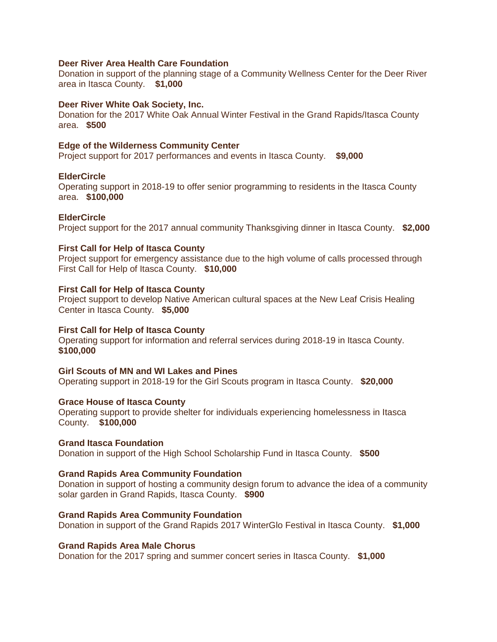# **Deer River Area Health Care Foundation**

Donation in support of the planning stage of a Community Wellness Center for the Deer River area in Itasca County. **\$1,000**

# **Deer River White Oak Society, Inc.**

Donation for the 2017 White Oak Annual Winter Festival in the Grand Rapids/Itasca County area. **\$500**

# **Edge of the Wilderness Community Center**

Project support for 2017 performances and events in Itasca County. **\$9,000**

# **ElderCircle**

Operating support in 2018-19 to offer senior programming to residents in the Itasca County area. **\$100,000**

# **ElderCircle**

Project support for the 2017 annual community Thanksgiving dinner in Itasca County. **\$2,000**

# **First Call for Help of Itasca County**

Project support for emergency assistance due to the high volume of calls processed through First Call for Help of Itasca County. **\$10,000**

# **First Call for Help of Itasca County**

Project support to develop Native American cultural spaces at the New Leaf Crisis Healing Center in Itasca County. **\$5,000**

# **First Call for Help of Itasca County**

Operating support for information and referral services during 2018-19 in Itasca County. **\$100,000**

# **Girl Scouts of MN and WI Lakes and Pines**

Operating support in 2018-19 for the Girl Scouts program in Itasca County. **\$20,000**

# **Grace House of Itasca County**

Operating support to provide shelter for individuals experiencing homelessness in Itasca County. **\$100,000**

# **Grand Itasca Foundation**

Donation in support of the High School Scholarship Fund in Itasca County. **\$500**

# **Grand Rapids Area Community Foundation**

Donation in support of hosting a community design forum to advance the idea of a community solar garden in Grand Rapids, Itasca County. **\$900**

# **Grand Rapids Area Community Foundation**

Donation in support of the Grand Rapids 2017 WinterGlo Festival in Itasca County. **\$1,000**

# **Grand Rapids Area Male Chorus**

Donation for the 2017 spring and summer concert series in Itasca County. **\$1,000**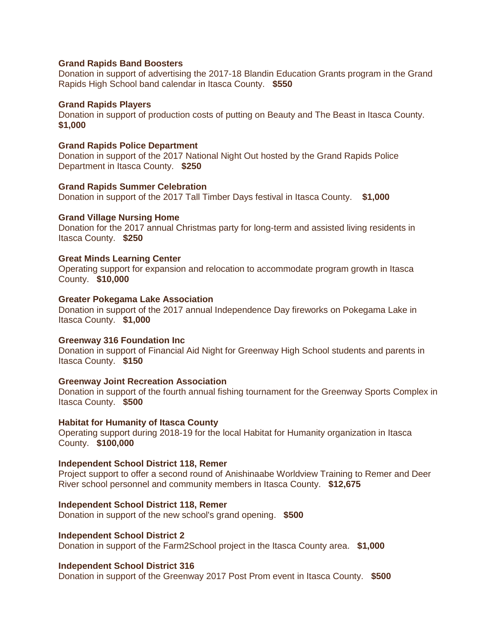### **Grand Rapids Band Boosters**

Donation in support of advertising the 2017-18 Blandin Education Grants program in the Grand Rapids High School band calendar in Itasca County. **\$550**

### **Grand Rapids Players**

Donation in support of production costs of putting on Beauty and The Beast in Itasca County. **\$1,000**

### **Grand Rapids Police Department**

Donation in support of the 2017 National Night Out hosted by the Grand Rapids Police Department in Itasca County. **\$250**

# **Grand Rapids Summer Celebration**

Donation in support of the 2017 Tall Timber Days festival in Itasca County. **\$1,000**

### **Grand Village Nursing Home**

Donation for the 2017 annual Christmas party for long-term and assisted living residents in Itasca County. **\$250**

### **Great Minds Learning Center**

Operating support for expansion and relocation to accommodate program growth in Itasca County. **\$10,000**

### **Greater Pokegama Lake Association**

Donation in support of the 2017 annual Independence Day fireworks on Pokegama Lake in Itasca County. **\$1,000**

### **Greenway 316 Foundation Inc**

Donation in support of Financial Aid Night for Greenway High School students and parents in Itasca County. **\$150**

### **Greenway Joint Recreation Association**

Donation in support of the fourth annual fishing tournament for the Greenway Sports Complex in Itasca County. **\$500**

### **Habitat for Humanity of Itasca County**

Operating support during 2018-19 for the local Habitat for Humanity organization in Itasca County. **\$100,000**

### **Independent School District 118, Remer**

Project support to offer a second round of Anishinaabe Worldview Training to Remer and Deer River school personnel and community members in Itasca County. **\$12,675**

### **Independent School District 118, Remer**

Donation in support of the new school's grand opening. **\$500**

### **Independent School District 2**

Donation in support of the Farm2School project in the Itasca County area. **\$1,000**

### **Independent School District 316**

Donation in support of the Greenway 2017 Post Prom event in Itasca County. **\$500**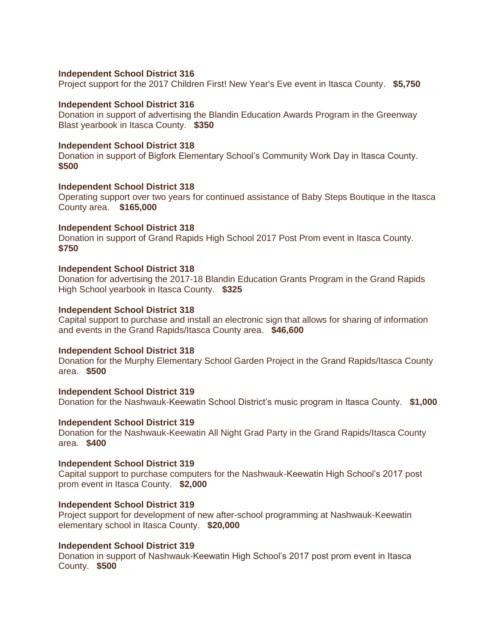### **Independent School District 316**

Project support for the 2017 Children First! New Year's Eve event in Itasca County. **\$5,750**

### **Independent School District 316**

Donation in support of advertising the Blandin Education Awards Program in the Greenway Blast yearbook in Itasca County. **\$350**

### **Independent School District 318**

Donation in support of Bigfork Elementary School's Community Work Day in Itasca County. **\$500**

### **Independent School District 318**

Operating support over two years for continued assistance of Baby Steps Boutique in the Itasca County area. **\$165,000**

# **Independent School District 318**

Donation in support of Grand Rapids High School 2017 Post Prom event in Itasca County. **\$750**

### **Independent School District 318**

Donation for advertising the 2017-18 Blandin Education Grants Program in the Grand Rapids High School yearbook in Itasca County. **\$325**

### **Independent School District 318**

Capital support to purchase and install an electronic sign that allows for sharing of information and events in the Grand Rapids/Itasca County area. **\$46,600**

### **Independent School District 318**

Donation for the Murphy Elementary School Garden Project in the Grand Rapids/Itasca County area. **\$500**

### **Independent School District 319** Donation for the Nashwauk-Keewatin School District's music program in Itasca County. **\$1,000**

### **Independent School District 319**

Donation for the Nashwauk-Keewatin All Night Grad Party in the Grand Rapids/Itasca County area. **\$400**

### **Independent School District 319**

Capital support to purchase computers for the Nashwauk-Keewatin High School's 2017 post prom event in Itasca County. **\$2,000**

### **Independent School District 319**

Project support for development of new after-school programming at Nashwauk-Keewatin elementary school in Itasca County. **\$20,000**

### **Independent School District 319**

Donation in support of Nashwauk-Keewatin High School's 2017 post prom event in Itasca County. **\$500**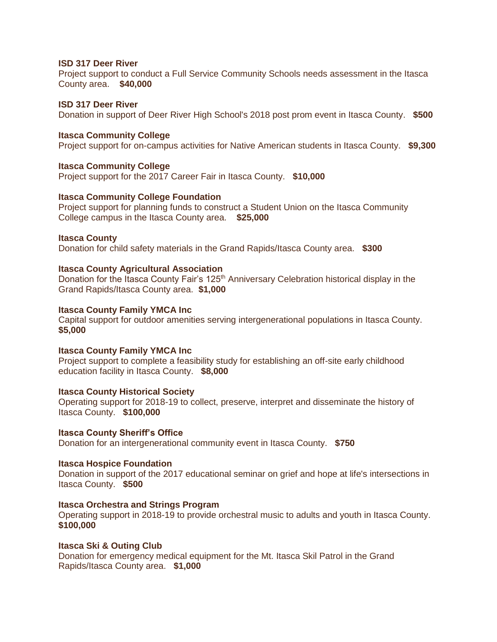# **ISD 317 Deer River**

Project support to conduct a Full Service Community Schools needs assessment in the Itasca County area. **\$40,000**

# **ISD 317 Deer River**

Donation in support of Deer River High School's 2018 post prom event in Itasca County. **\$500**

# **Itasca Community College**

Project support for on-campus activities for Native American students in Itasca County. **\$9,300**

# **Itasca Community College**

Project support for the 2017 Career Fair in Itasca County. **\$10,000**

# **Itasca Community College Foundation**

Project support for planning funds to construct a Student Union on the Itasca Community College campus in the Itasca County area. **\$25,000**

# **Itasca County**

Donation for child safety materials in the Grand Rapids/Itasca County area. **\$300**

# **Itasca County Agricultural Association**

Donation for the Itasca County Fair's 125<sup>th</sup> Anniversary Celebration historical display in the Grand Rapids/Itasca County area. **\$1,000**

# **Itasca County Family YMCA Inc**

Capital support for outdoor amenities serving intergenerational populations in Itasca County. **\$5,000**

# **Itasca County Family YMCA Inc**

Project support to complete a feasibility study for establishing an off-site early childhood education facility in Itasca County. **\$8,000**

# **Itasca County Historical Society**

Operating support for 2018-19 to collect, preserve, interpret and disseminate the history of Itasca County. **\$100,000**

# **Itasca County Sheriff's Office**

Donation for an intergenerational community event in Itasca County. **\$750**

# **Itasca Hospice Foundation**

Donation in support of the 2017 educational seminar on grief and hope at life's intersections in Itasca County. **\$500**

# **Itasca Orchestra and Strings Program**

Operating support in 2018-19 to provide orchestral music to adults and youth in Itasca County. **\$100,000**

# **Itasca Ski & Outing Club**

Donation for emergency medical equipment for the Mt. Itasca Skil Patrol in the Grand Rapids/Itasca County area. **\$1,000**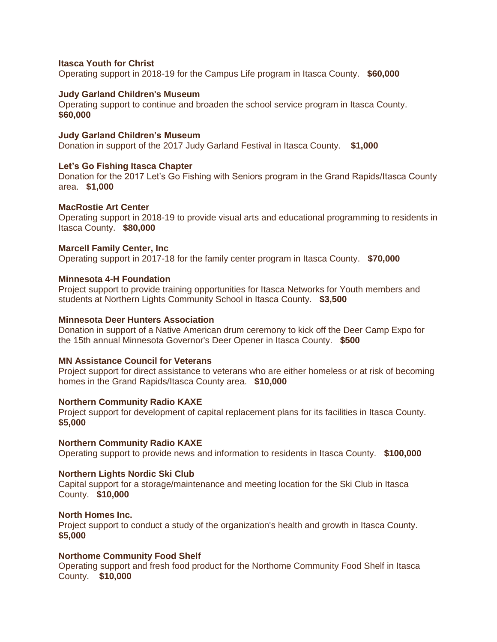# **Itasca Youth for Christ**

Operating support in 2018-19 for the Campus Life program in Itasca County. **\$60,000**

# **Judy Garland Children's Museum**

Operating support to continue and broaden the school service program in Itasca County. **\$60,000**

# **Judy Garland Children's Museum**

Donation in support of the 2017 Judy Garland Festival in Itasca County. **\$1,000**

# **Let's Go Fishing Itasca Chapter**

Donation for the 2017 Let's Go Fishing with Seniors program in the Grand Rapids/Itasca County area. **\$1,000**

# **MacRostie Art Center**

Operating support in 2018-19 to provide visual arts and educational programming to residents in Itasca County. **\$80,000**

# **Marcell Family Center, Inc**

Operating support in 2017-18 for the family center program in Itasca County. **\$70,000**

# **Minnesota 4-H Foundation**

Project support to provide training opportunities for Itasca Networks for Youth members and students at Northern Lights Community School in Itasca County. **\$3,500**

# **Minnesota Deer Hunters Association**

Donation in support of a Native American drum ceremony to kick off the Deer Camp Expo for the 15th annual Minnesota Governor's Deer Opener in Itasca County. **\$500**

# **MN Assistance Council for Veterans**

Project support for direct assistance to veterans who are either homeless or at risk of becoming homes in the Grand Rapids/Itasca County area. **\$10,000**

# **Northern Community Radio KAXE**

Project support for development of capital replacement plans for its facilities in Itasca County. **\$5,000**

# **Northern Community Radio KAXE**

Operating support to provide news and information to residents in Itasca County. **\$100,000**

# **Northern Lights Nordic Ski Club**

Capital support for a storage/maintenance and meeting location for the Ski Club in Itasca County. **\$10,000**

# **North Homes Inc.**

Project support to conduct a study of the organization's health and growth in Itasca County. **\$5,000**

# **Northome Community Food Shelf**

Operating support and fresh food product for the Northome Community Food Shelf in Itasca County. **\$10,000**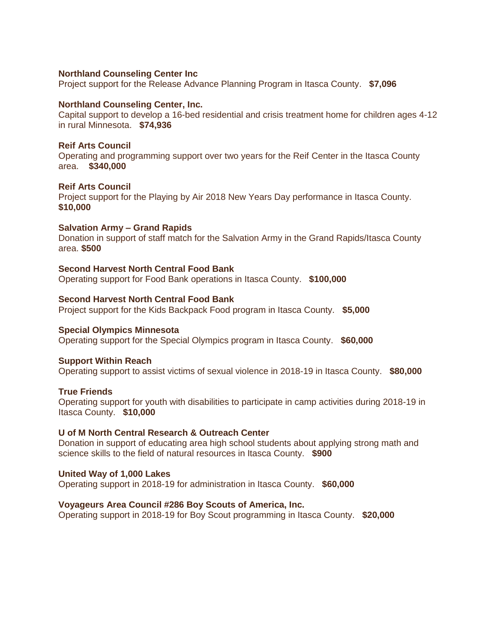# **Northland Counseling Center Inc**

Project support for the Release Advance Planning Program in Itasca County. **\$7,096**

### **Northland Counseling Center, Inc.**

Capital support to develop a 16-bed residential and crisis treatment home for children ages 4-12 in rural Minnesota. **\$74,936**

### **Reif Arts Council**

Operating and programming support over two years for the Reif Center in the Itasca County area. **\$340,000**

# **Reif Arts Council**

Project support for the Playing by Air 2018 New Years Day performance in Itasca County. **\$10,000**

# **Salvation Army – Grand Rapids**

Donation in support of staff match for the Salvation Army in the Grand Rapids/Itasca County area. **\$500**

# **Second Harvest North Central Food Bank**

Operating support for Food Bank operations in Itasca County. **\$100,000**

# **Second Harvest North Central Food Bank**

Project support for the Kids Backpack Food program in Itasca County. **\$5,000**

# **Special Olympics Minnesota**

Operating support for the Special Olympics program in Itasca County. **\$60,000**

# **Support Within Reach**

Operating support to assist victims of sexual violence in 2018-19 in Itasca County. **\$80,000**

# **True Friends**

Operating support for youth with disabilities to participate in camp activities during 2018-19 in Itasca County. **\$10,000**

# **U of M North Central Research & Outreach Center**

Donation in support of educating area high school students about applying strong math and science skills to the field of natural resources in Itasca County. **\$900**

# **United Way of 1,000 Lakes**

Operating support in 2018-19 for administration in Itasca County. **\$60,000**

# **Voyageurs Area Council #286 Boy Scouts of America, Inc.**

Operating support in 2018-19 for Boy Scout programming in Itasca County. **\$20,000**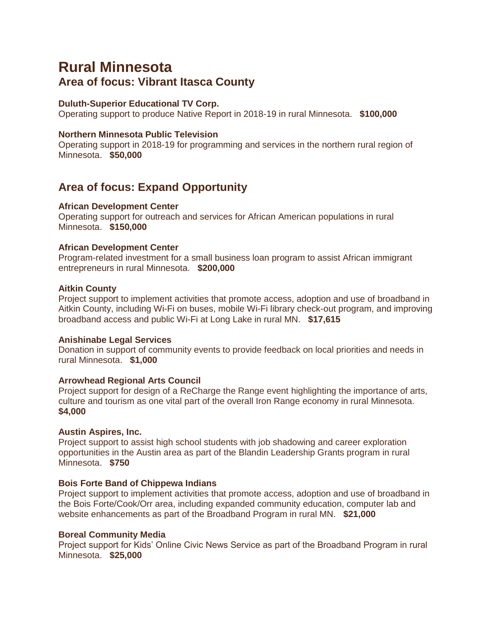# **Rural Minnesota Area of focus: Vibrant Itasca County**

# **Duluth-Superior Educational TV Corp.**

Operating support to produce Native Report in 2018-19 in rural Minnesota. **\$100,000**

# **Northern Minnesota Public Television**

Operating support in 2018-19 for programming and services in the northern rural region of Minnesota. **\$50,000**

# **Area of focus: Expand Opportunity**

# **African Development Center**

Operating support for outreach and services for African American populations in rural Minnesota. **\$150,000**

# **African Development Center**

Program-related investment for a small business loan program to assist African immigrant entrepreneurs in rural Minnesota. **\$200,000**

# **Aitkin County**

Project support to implement activities that promote access, adoption and use of broadband in Aitkin County, including Wi-Fi on buses, mobile Wi-Fi library check-out program, and improving broadband access and public Wi-Fi at Long Lake in rural MN. **\$17,615**

# **Anishinabe Legal Services**

Donation in support of community events to provide feedback on local priorities and needs in rural Minnesota. **\$1,000**

# **Arrowhead Regional Arts Council**

Project support for design of a ReCharge the Range event highlighting the importance of arts, culture and tourism as one vital part of the overall Iron Range economy in rural Minnesota. **\$4,000**

# **Austin Aspires, Inc.**

Project support to assist high school students with job shadowing and career exploration opportunities in the Austin area as part of the Blandin Leadership Grants program in rural Minnesota. **\$750**

# **Bois Forte Band of Chippewa Indians**

Project support to implement activities that promote access, adoption and use of broadband in the Bois Forte/Cook/Orr area, including expanded community education, computer lab and website enhancements as part of the Broadband Program in rural MN. **\$21,000**

# **Boreal Community Media**

Project support for Kids' Online Civic News Service as part of the Broadband Program in rural Minnesota. **\$25,000**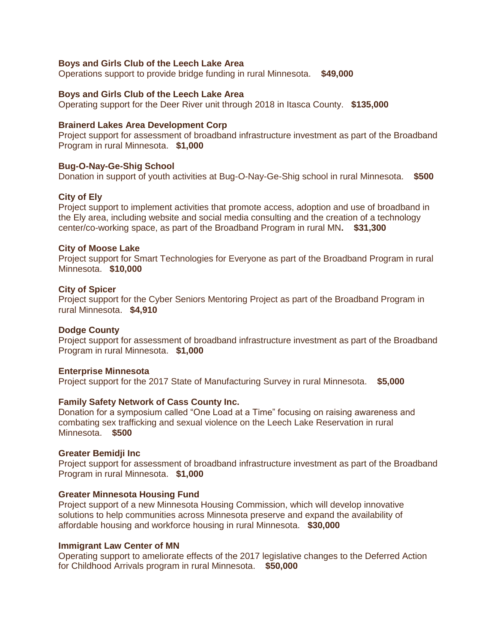### **Boys and Girls Club of the Leech Lake Area**

Operations support to provide bridge funding in rural Minnesota. **\$49,000**

### **Boys and Girls Club of the Leech Lake Area**

Operating support for the Deer River unit through 2018 in Itasca County. **\$135,000**

### **Brainerd Lakes Area Development Corp**

Project support for assessment of broadband infrastructure investment as part of the Broadband Program in rural Minnesota. **\$1,000**

# **Bug-O-Nay-Ge-Shig School**

Donation in support of youth activities at Bug-O-Nay-Ge-Shig school in rural Minnesota. **\$500**

### **City of Ely**

Project support to implement activities that promote access, adoption and use of broadband in the Ely area, including website and social media consulting and the creation of a technology center/co-working space, as part of the Broadband Program in rural MN**. \$31,300**

### **City of Moose Lake**

Project support for Smart Technologies for Everyone as part of the Broadband Program in rural Minnesota. **\$10,000**

### **City of Spicer**

Project support for the Cyber Seniors Mentoring Project as part of the Broadband Program in rural Minnesota. **\$4,910**

### **Dodge County**

Project support for assessment of broadband infrastructure investment as part of the Broadband Program in rural Minnesota. **\$1,000**

### **Enterprise Minnesota**

Project support for the 2017 State of Manufacturing Survey in rural Minnesota. **\$5,000**

### **Family Safety Network of Cass County Inc.**

Donation for a symposium called "One Load at a Time" focusing on raising awareness and combating sex trafficking and sexual violence on the Leech Lake Reservation in rural Minnesota. **\$500**

### **Greater Bemidji Inc**

Project support for assessment of broadband infrastructure investment as part of the Broadband Program in rural Minnesota. **\$1,000**

### **Greater Minnesota Housing Fund**

Project support of a new Minnesota Housing Commission, which will develop innovative solutions to help communities across Minnesota preserve and expand the availability of affordable housing and workforce housing in rural Minnesota. **\$30,000**

### **Immigrant Law Center of MN**

Operating support to ameliorate effects of the 2017 legislative changes to the Deferred Action for Childhood Arrivals program in rural Minnesota. **\$50,000**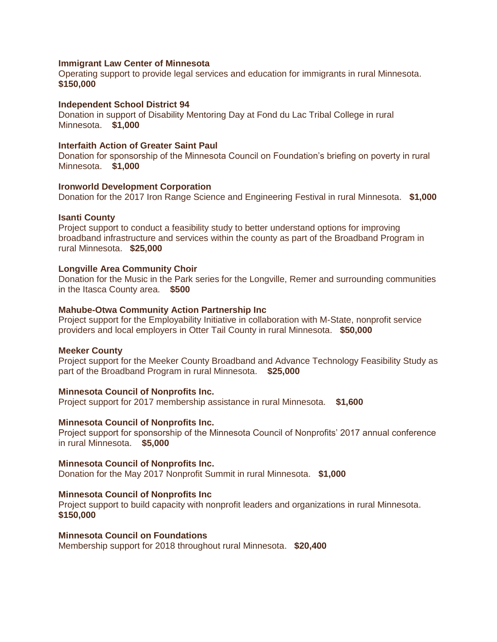### **Immigrant Law Center of Minnesota**

Operating support to provide legal services and education for immigrants in rural Minnesota. **\$150,000**

### **Independent School District 94**

Donation in support of Disability Mentoring Day at Fond du Lac Tribal College in rural Minnesota. **\$1,000**

### **Interfaith Action of Greater Saint Paul**

Donation for sponsorship of the Minnesota Council on Foundation's briefing on poverty in rural Minnesota. **\$1,000**

# **Ironworld Development Corporation**

Donation for the 2017 Iron Range Science and Engineering Festival in rural Minnesota. **\$1,000**

# **Isanti County**

Project support to conduct a feasibility study to better understand options for improving broadband infrastructure and services within the county as part of the Broadband Program in rural Minnesota. **\$25,000**

### **Longville Area Community Choir**

Donation for the Music in the Park series for the Longville, Remer and surrounding communities in the Itasca County area. **\$500**

### **Mahube-Otwa Community Action Partnership Inc**

Project support for the Employability Initiative in collaboration with M-State, nonprofit service providers and local employers in Otter Tail County in rural Minnesota. **\$50,000**

### **Meeker County**

Project support for the Meeker County Broadband and Advance Technology Feasibility Study as part of the Broadband Program in rural Minnesota. **\$25,000**

### **Minnesota Council of Nonprofits Inc.**

Project support for 2017 membership assistance in rural Minnesota. **\$1,600**

### **Minnesota Council of Nonprofits Inc.**

Project support for sponsorship of the Minnesota Council of Nonprofits' 2017 annual conference in rural Minnesota. **\$5,000**

### **Minnesota Council of Nonprofits Inc.**

Donation for the May 2017 Nonprofit Summit in rural Minnesota. **\$1,000**

### **Minnesota Council of Nonprofits Inc**

Project support to build capacity with nonprofit leaders and organizations in rural Minnesota. **\$150,000**

### **Minnesota Council on Foundations**

Membership support for 2018 throughout rural Minnesota. **\$20,400**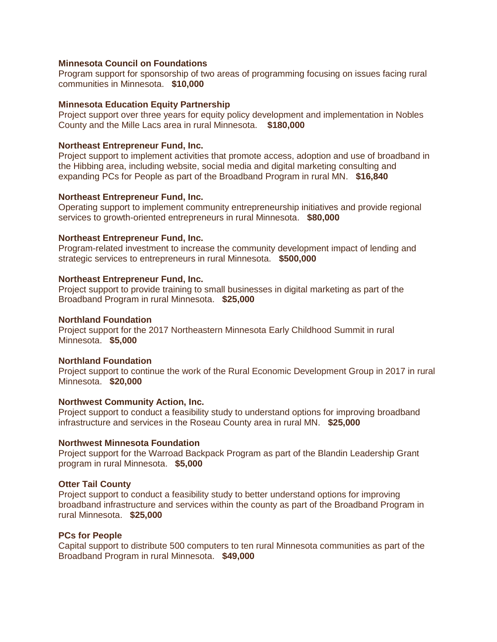# **Minnesota Council on Foundations**

Program support for sponsorship of two areas of programming focusing on issues facing rural communities in Minnesota. **\$10,000**

### **Minnesota Education Equity Partnership**

Project support over three years for equity policy development and implementation in Nobles County and the Mille Lacs area in rural Minnesota. **\$180,000**

#### **Northeast Entrepreneur Fund, Inc.**

Project support to implement activities that promote access, adoption and use of broadband in the Hibbing area, including website, social media and digital marketing consulting and expanding PCs for People as part of the Broadband Program in rural MN. **\$16,840**

### **Northeast Entrepreneur Fund, Inc.**

Operating support to implement community entrepreneurship initiatives and provide regional services to growth-oriented entrepreneurs in rural Minnesota. **\$80,000**

### **Northeast Entrepreneur Fund, Inc.**

Program-related investment to increase the community development impact of lending and strategic services to entrepreneurs in rural Minnesota. **\$500,000**

#### **Northeast Entrepreneur Fund, Inc.**

Project support to provide training to small businesses in digital marketing as part of the Broadband Program in rural Minnesota. **\$25,000**

#### **Northland Foundation**

Project support for the 2017 Northeastern Minnesota Early Childhood Summit in rural Minnesota. **\$5,000**

### **Northland Foundation**

Project support to continue the work of the Rural Economic Development Group in 2017 in rural Minnesota. **\$20,000**

### **Northwest Community Action, Inc.**

Project support to conduct a feasibility study to understand options for improving broadband infrastructure and services in the Roseau County area in rural MN. **\$25,000**

### **Northwest Minnesota Foundation**

Project support for the Warroad Backpack Program as part of the Blandin Leadership Grant program in rural Minnesota. **\$5,000**

### **Otter Tail County**

Project support to conduct a feasibility study to better understand options for improving broadband infrastructure and services within the county as part of the Broadband Program in rural Minnesota. **\$25,000**

# **PCs for People**

Capital support to distribute 500 computers to ten rural Minnesota communities as part of the Broadband Program in rural Minnesota. **\$49,000**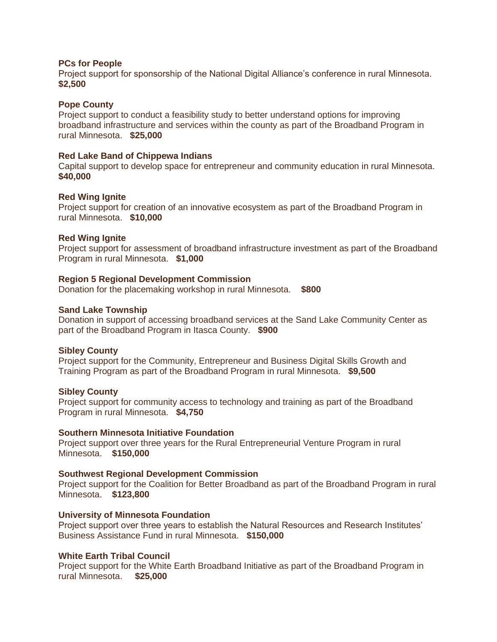### **PCs for People**

Project support for sponsorship of the National Digital Alliance's conference in rural Minnesota. **\$2,500**

### **Pope County**

Project support to conduct a feasibility study to better understand options for improving broadband infrastructure and services within the county as part of the Broadband Program in rural Minnesota. **\$25,000**

### **Red Lake Band of Chippewa Indians**

Capital support to develop space for entrepreneur and community education in rural Minnesota. **\$40,000**

### **Red Wing Ignite**

Project support for creation of an innovative ecosystem as part of the Broadband Program in rural Minnesota. **\$10,000**

### **Red Wing Ignite**

Project support for assessment of broadband infrastructure investment as part of the Broadband Program in rural Minnesota. **\$1,000**

### **Region 5 Regional Development Commission**

Donation for the placemaking workshop in rural Minnesota. **\$800**

### **Sand Lake Township**

Donation in support of accessing broadband services at the Sand Lake Community Center as part of the Broadband Program in Itasca County. **\$900**

### **Sibley County**

Project support for the Community, Entrepreneur and Business Digital Skills Growth and Training Program as part of the Broadband Program in rural Minnesota. **\$9,500**

### **Sibley County**

Project support for community access to technology and training as part of the Broadband Program in rural Minnesota. **\$4,750**

### **Southern Minnesota Initiative Foundation**

Project support over three years for the Rural Entrepreneurial Venture Program in rural Minnesota. **\$150,000**

### **Southwest Regional Development Commission**

Project support for the Coalition for Better Broadband as part of the Broadband Program in rural Minnesota. **\$123,800**

### **University of Minnesota Foundation**

Project support over three years to establish the Natural Resources and Research Institutes' Business Assistance Fund in rural Minnesota. **\$150,000**

# **White Earth Tribal Council**

Project support for the White Earth Broadband Initiative as part of the Broadband Program in rural Minnesota. **\$25,000**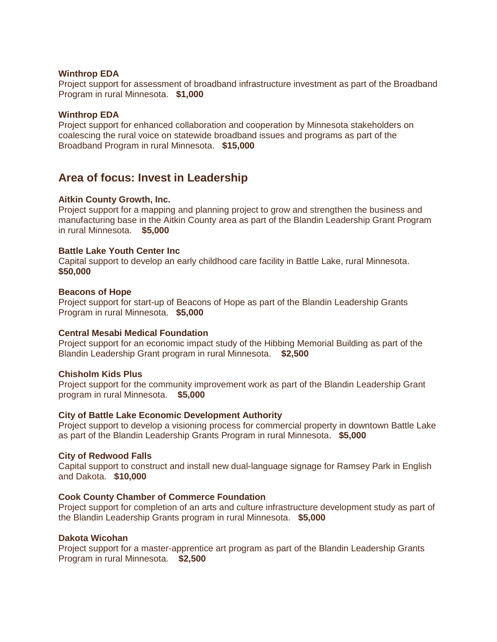# **Winthrop EDA**

Project support for assessment of broadband infrastructure investment as part of the Broadband Program in rural Minnesota. **\$1,000**

### **Winthrop EDA**

Project support for enhanced collaboration and cooperation by Minnesota stakeholders on coalescing the rural voice on statewide broadband issues and programs as part of the Broadband Program in rural Minnesota. **\$15,000**

# **Area of focus: Invest in Leadership**

### **Aitkin County Growth, Inc.**

Project support for a mapping and planning project to grow and strengthen the business and manufacturing base in the Aitkin County area as part of the Blandin Leadership Grant Program in rural Minnesota. **\$5,000**

### **Battle Lake Youth Center Inc**

Capital support to develop an early childhood care facility in Battle Lake, rural Minnesota. **\$50,000**

### **Beacons of Hope**

Project support for start-up of Beacons of Hope as part of the Blandin Leadership Grants Program in rural Minnesota. **\$5,000**

### **Central Mesabi Medical Foundation**

Project support for an economic impact study of the Hibbing Memorial Building as part of the Blandin Leadership Grant program in rural Minnesota. **\$2,500**

### **Chisholm Kids Plus**

Project support for the community improvement work as part of the Blandin Leadership Grant program in rural Minnesota. **\$5,000**

### **City of Battle Lake Economic Development Authority**

Project support to develop a visioning process for commercial property in downtown Battle Lake as part of the Blandin Leadership Grants Program in rural Minnesota. **\$5,000**

### **City of Redwood Falls**

Capital support to construct and install new dual-language signage for Ramsey Park in English and Dakota. **\$10,000**

### **Cook County Chamber of Commerce Foundation**

Project support for completion of an arts and culture infrastructure development study as part of the Blandin Leadership Grants program in rural Minnesota. **\$5,000**

# **Dakota Wicohan**

Project support for a master-apprentice art program as part of the Blandin Leadership Grants Program in rural Minnesota. **\$2,500**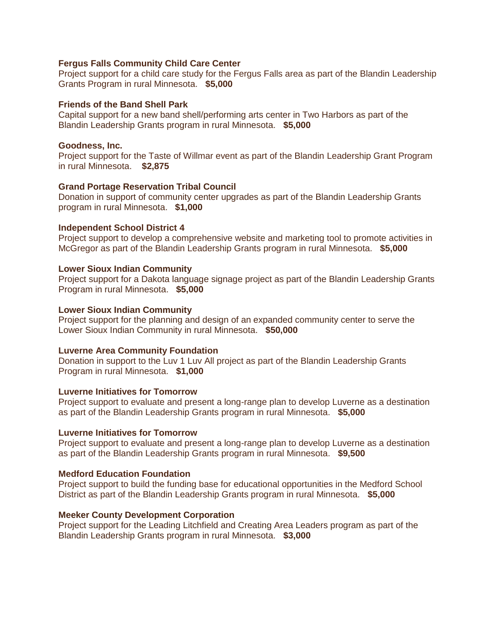# **Fergus Falls Community Child Care Center**

Project support for a child care study for the Fergus Falls area as part of the Blandin Leadership Grants Program in rural Minnesota. **\$5,000**

# **Friends of the Band Shell Park**

Capital support for a new band shell/performing arts center in Two Harbors as part of the Blandin Leadership Grants program in rural Minnesota. **\$5,000**

# **Goodness, Inc.**

Project support for the Taste of Willmar event as part of the Blandin Leadership Grant Program in rural Minnesota. **\$2,875**

# **Grand Portage Reservation Tribal Council**

Donation in support of community center upgrades as part of the Blandin Leadership Grants program in rural Minnesota. **\$1,000**

# **Independent School District 4**

Project support to develop a comprehensive website and marketing tool to promote activities in McGregor as part of the Blandin Leadership Grants program in rural Minnesota. **\$5,000**

# **Lower Sioux Indian Community**

Project support for a Dakota language signage project as part of the Blandin Leadership Grants Program in rural Minnesota. **\$5,000**

# **Lower Sioux Indian Community**

Project support for the planning and design of an expanded community center to serve the Lower Sioux Indian Community in rural Minnesota. **\$50,000**

# **Luverne Area Community Foundation**

Donation in support to the Luv 1 Luv All project as part of the Blandin Leadership Grants Program in rural Minnesota. **\$1,000**

# **Luverne Initiatives for Tomorrow**

Project support to evaluate and present a long-range plan to develop Luverne as a destination as part of the Blandin Leadership Grants program in rural Minnesota. **\$5,000**

# **Luverne Initiatives for Tomorrow**

Project support to evaluate and present a long-range plan to develop Luverne as a destination as part of the Blandin Leadership Grants program in rural Minnesota. **\$9,500**

# **Medford Education Foundation**

Project support to build the funding base for educational opportunities in the Medford School District as part of the Blandin Leadership Grants program in rural Minnesota. **\$5,000**

# **Meeker County Development Corporation**

Project support for the Leading Litchfield and Creating Area Leaders program as part of the Blandin Leadership Grants program in rural Minnesota. **\$3,000**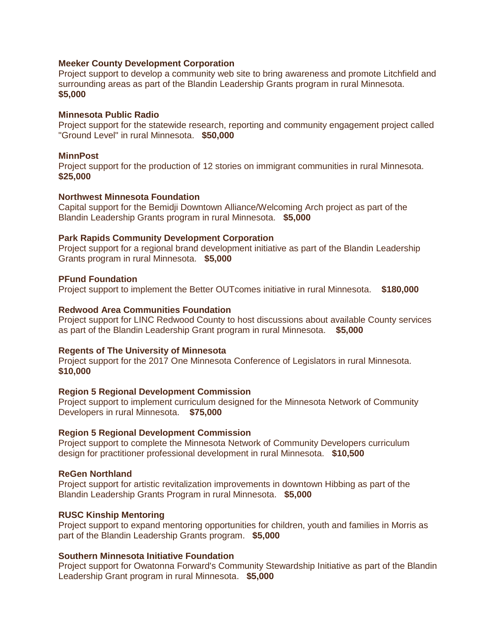# **Meeker County Development Corporation**

Project support to develop a community web site to bring awareness and promote Litchfield and surrounding areas as part of the Blandin Leadership Grants program in rural Minnesota. **\$5,000**

### **Minnesota Public Radio**

Project support for the statewide research, reporting and community engagement project called "Ground Level" in rural Minnesota. **\$50,000**

### **MinnPost**

Project support for the production of 12 stories on immigrant communities in rural Minnesota. **\$25,000**

# **Northwest Minnesota Foundation**

Capital support for the Bemidji Downtown Alliance/Welcoming Arch project as part of the Blandin Leadership Grants program in rural Minnesota. **\$5,000**

### **Park Rapids Community Development Corporation**

Project support for a regional brand development initiative as part of the Blandin Leadership Grants program in rural Minnesota. **\$5,000**

### **PFund Foundation**

Project support to implement the Better OUTcomes initiative in rural Minnesota. **\$180,000**

### **Redwood Area Communities Foundation**

Project support for LINC Redwood County to host discussions about available County services as part of the Blandin Leadership Grant program in rural Minnesota. **\$5,000**

### **Regents of The University of Minnesota**

Project support for the 2017 One Minnesota Conference of Legislators in rural Minnesota. **\$10,000**

### **Region 5 Regional Development Commission**

Project support to implement curriculum designed for the Minnesota Network of Community Developers in rural Minnesota. **\$75,000**

### **Region 5 Regional Development Commission**

Project support to complete the Minnesota Network of Community Developers curriculum design for practitioner professional development in rural Minnesota. **\$10,500**

### **ReGen Northland**

Project support for artistic revitalization improvements in downtown Hibbing as part of the Blandin Leadership Grants Program in rural Minnesota. **\$5,000**

### **RUSC Kinship Mentoring**

Project support to expand mentoring opportunities for children, youth and families in Morris as part of the Blandin Leadership Grants program. **\$5,000**

# **Southern Minnesota Initiative Foundation**

Project support for Owatonna Forward's Community Stewardship Initiative as part of the Blandin Leadership Grant program in rural Minnesota. **\$5,000**